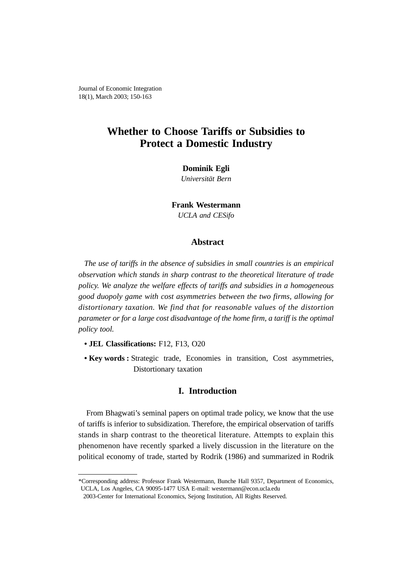Journal of Economic Integration 18(1), March 2003; 150-163

# **Whether to Choose Tariffs or Subsidies to Protect a Domestic Industry**

#### **Dominik Egli**

*Universität Bern*

**Frank Westermann** *UCLA and CESifo*

## **Abstract**

*The use of tariffs in the absence of subsidies in small countries is an empirical observation which stands in sharp contrast to the theoretical literature of trade policy. We analyze the welfare effects of tariffs and subsidies in a homogeneous good duopoly game with cost asymmetries between the two firms, allowing for distortionary taxation. We find that for reasonable values of the distortion parameter or for a large cost disadvantage of the home firm, a tariff is the optimal policy tool.*

- **JEL Classifications:** F12, F13, O20
- **Key words :** Strategic trade, Economies in transition, Cost asymmetries, Distortionary taxation

### **I. Introduction**

From Bhagwati's seminal papers on optimal trade policy, we know that the use of tariffs is inferior to subsidization. Therefore, the empirical observation of tariffs stands in sharp contrast to the theoretical literature. Attempts to explain this phenomenon have recently sparked a lively discussion in the literature on the political economy of trade, started by Rodrik (1986) and summarized in Rodrik

<sup>\*</sup>Corresponding address: Professor Frank Westermann, Bunche Hall 9357, Department of Economics, UCLA, Los Angeles, CA 90095-1477 USA E-mail: westermann@econ.ucla.edu

<sup>2003-</sup>Center for International Economics, Sejong Institution, All Rights Reserved.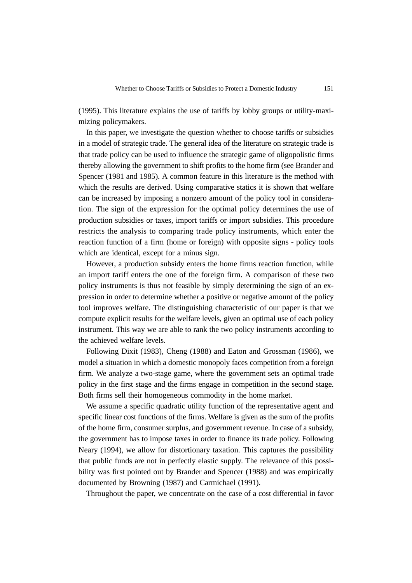(1995). This literature explains the use of tariffs by lobby groups or utility-maximizing policymakers.

In this paper, we investigate the question whether to choose tariffs or subsidies in a model of strategic trade. The general idea of the literature on strategic trade is that trade policy can be used to influence the strategic game of oligopolistic firms thereby allowing the government to shift profits to the home firm (see Brander and Spencer (1981 and 1985). A common feature in this literature is the method with which the results are derived. Using comparative statics it is shown that welfare can be increased by imposing a nonzero amount of the policy tool in consideration. The sign of the expression for the optimal policy determines the use of production subsidies or taxes, import tariffs or import subsidies. This procedure restricts the analysis to comparing trade policy instruments, which enter the reaction function of a firm (home or foreign) with opposite signs - policy tools which are identical, except for a minus sign.

However, a production subsidy enters the home firms reaction function, while an import tariff enters the one of the foreign firm. A comparison of these two policy instruments is thus not feasible by simply determining the sign of an expression in order to determine whether a positive or negative amount of the policy tool improves welfare. The distinguishing characteristic of our paper is that we compute explicit results for the welfare levels, given an optimal use of each policy instrument. This way we are able to rank the two policy instruments according to the achieved welfare levels.

Following Dixit (1983), Cheng (1988) and Eaton and Grossman (1986), we model a situation in which a domestic monopoly faces competition from a foreign firm. We analyze a two-stage game, where the government sets an optimal trade policy in the first stage and the firms engage in competition in the second stage. Both firms sell their homogeneous commodity in the home market.

We assume a specific quadratic utility function of the representative agent and specific linear cost functions of the firms. Welfare is given as the sum of the profits of the home firm, consumer surplus, and government revenue. In case of a subsidy, the government has to impose taxes in order to finance its trade policy. Following Neary (1994), we allow for distortionary taxation. This captures the possibility that public funds are not in perfectly elastic supply. The relevance of this possibility was first pointed out by Brander and Spencer (1988) and was empirically documented by Browning (1987) and Carmichael (1991).

Throughout the paper, we concentrate on the case of a cost differential in favor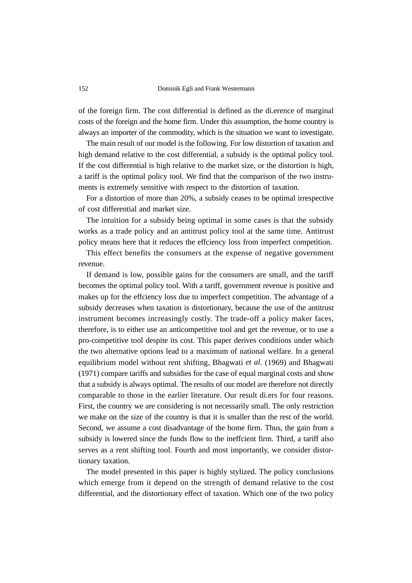152 Dominik Egli and Frank Westermann

of the foreign firm. The cost differential is defined as the di.erence of marginal costs of the foreign and the home firm. Under this assumption, the home country is always an importer of the commodity, which is the situation we want to investigate.

The main result of our model is the following. For low distortion of taxation and high demand relative to the cost differential, a subsidy is the optimal policy tool. If the cost differential is high relative to the market size, or the distortion is high, a tariff is the optimal policy tool. We find that the comparison of the two instruments is extremely sensitive with respect to the distortion of taxation.

For a distortion of more than 20%, a subsidy ceases to be optimal irrespective of cost differential and market size.

The intuition for a subsidy being optimal in some cases is that the subsidy works as a trade policy and an antitrust policy tool at the same time. Antitrust policy means here that it reduces the effciency loss from imperfect competition.

This effect benefits the consumers at the expense of negative government revenue.

If demand is low, possible gains for the consumers are small, and the tariff becomes the optimal policy tool. With a tariff, government revenue is positive and makes up for the effciency loss due to imperfect competition. The advantage of a subsidy decreases when taxation is distortionary, because the use of the antitrust instrument becomes increasingly costly. The trade-off a policy maker faces, therefore, is to either use an anticompetitive tool and get the revenue, or to use a pro-competitive tool despite its cost. This paper derives conditions under which the two alternative options lead to a maximum of national welfare. In a general equilibrium model without rent shifting, Bhagwati *et al.* (1969) and Bhagwati (1971) compare tariffs and subsidies for the case of equal marginal costs and show that a subsidy is always optimal. The results of our model are therefore not directly comparable to those in the earlier literature. Our result di.ers for four reasons. First, the country we are considering is not necessarily small. The only restriction we make on the size of the country is that it is smaller than the rest of the world. Second, we assume a cost disadvantage of the home firm. Thus, the gain from a subsidy is lowered since the funds flow to the ineffcient firm. Third, a tariff also serves as a rent shifting tool. Fourth and most importantly, we consider distortionary taxation.

The model presented in this paper is highly stylized. The policy conclusions which emerge from it depend on the strength of demand relative to the cost differential, and the distortionary effect of taxation. Which one of the two policy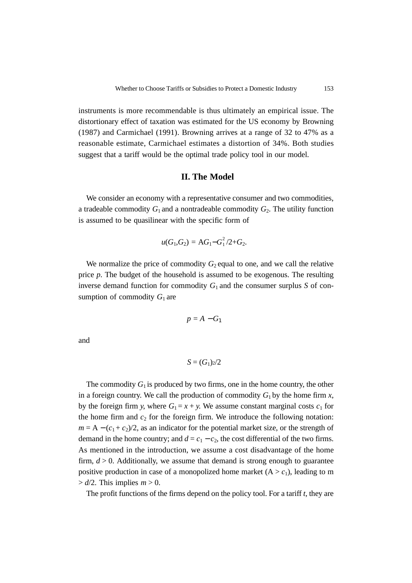instruments is more recommendable is thus ultimately an empirical issue. The distortionary effect of taxation was estimated for the US economy by Browning (1987) and Carmichael (1991). Browning arrives at a range of 32 to 47% as a reasonable estimate, Carmichael estimates a distortion of 34%. Both studies suggest that a tariff would be the optimal trade policy tool in our model.

#### **II. The Model**

We consider an economy with a representative consumer and two commodities, a tradeable commodity  $G_1$  and a nontradeable commodity  $G_2$ . The utility function is assumed to be quasilinear with the specific form of

$$
u(G_1,G_2) = AG_1 - G_1^2/2 + G_2.
$$

We normalize the price of commodity  $G_2$  equal to one, and we call the relative price *p*. The budget of the household is assumed to be exogenous. The resulting inverse demand function for commodity  $G_1$  and the consumer surplus *S* of consumption of commodity  $G_1$  are

$$
p=A-G_1
$$

and

$$
S=(G_1)_2/2
$$

The commodity  $G_1$  is produced by two firms, one in the home country, the other in a foreign country. We call the production of commodity  $G_1$  by the home firm  $x$ , by the foreign firm *y*, where  $G_1 = x + y$ . We assume constant marginal costs  $c_1$  for the home firm and  $c_2$  for the foreign firm. We introduce the following notation:  $m = A - (c_1 + c_2)/2$ , as an indicator for the potential market size, or the strength of demand in the home country; and  $d = c_1 - c_2$ , the cost differential of the two firms. As mentioned in the introduction, we assume a cost disadvantage of the home firm,  $d > 0$ . Additionally, we assume that demand is strong enough to guarantee positive production in case of a monopolized home market  $(A > c_1)$ , leading to m  $> d/2$ . This implies  $m > 0$ .

The profit functions of the firms depend on the policy tool. For a tariff *t*, they are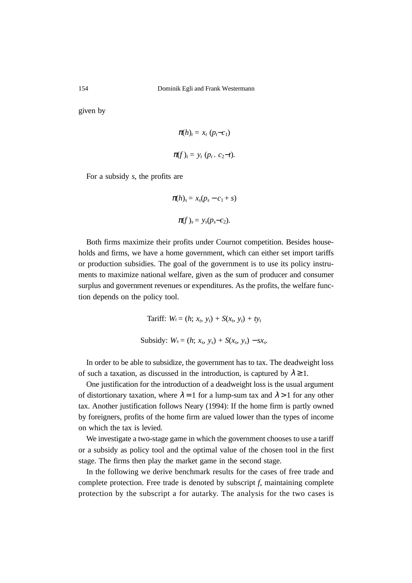given by

$$
\pi(h)_t = x_t (p_t-c_1)
$$
  

$$
\pi(f)_t = y_t (p_t. c_2-t).
$$

For a subsidy *s*, the profits are

$$
\pi(h)_s = x_s(p_s - c_1 + s)
$$

$$
\pi(f)_s = y_s(p_s - c_2).
$$

Both firms maximize their profits under Cournot competition. Besides households and firms, we have a home government, which can either set import tariffs or production subsidies. The goal of the government is to use its policy instruments to maximize national welfare, given as the sum of producer and consumer surplus and government revenues or expenditures. As the profits, the welfare function depends on the policy tool.

Tariff: 
$$
W_t = (h; x_b, y_t) + S(x_b, y_t) + ty_t
$$
  
Subsidy:  $W_s = (h; x_s, y_s) + S(x_s, y_s) - sx_s$ 

In order to be able to subsidize, the government has to tax. The deadweight loss of such a taxation, as discussed in the introduction, is captured by  $\lambda \geq 1$ .

One justification for the introduction of a deadweight loss is the usual argument of distortionary taxation, where  $\lambda = 1$  for a lump-sum tax and  $\lambda > 1$  for any other tax. Another justification follows Neary (1994): If the home firm is partly owned by foreigners, profits of the home firm are valued lower than the types of income on which the tax is levied.

We investigate a two-stage game in which the government chooses to use a tariff or a subsidy as policy tool and the optimal value of the chosen tool in the first stage. The firms then play the market game in the second stage.

In the following we derive benchmark results for the cases of free trade and complete protection. Free trade is denoted by subscript *f*, maintaining complete protection by the subscript a for autarky. The analysis for the two cases is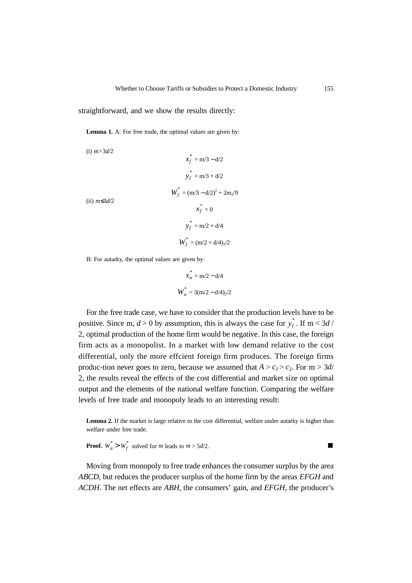straightforward, and we show the results directly:

Lemma 1. A: For free trade, the optimal values are given by:

(i) *m>*3*d/*2

$$
x_f^* = m/3 - d/2
$$
  

$$
y_f^* = m/3 + d/2
$$
  

$$
W_f^* = (m/3 - d/2)^2 + 2m_2/9
$$
  
(ii)  $m \le 3d/2$   

$$
x_f^* = 0
$$
  

$$
y_f^* = m/2 + d/4
$$
  

$$
W_f^* = (m/2 + d/4)_2/2
$$

B: For autarky, the optimal values are given by:

$$
x_a^* = m/2 - d/4
$$
  

$$
W_a^* = 3(m/2 - d/4)/2
$$

For the free trade case, we have to consider that the production levels have to be positive. Since m,  $d > 0$  by assumption, this is always the case for  $y_f^*$ . If m < 3*d* / 2, optimal production of the home firm would be negative. In this case, the foreign firm acts as a monopolist. In a market with low demand relative to the cost differential, only the more effcient foreign firm produces. The foreign firms produc-tion never goes to zero, because we assumed that  $A > c_1 > c_2$ . For m  $> 3d$ / 2, the results reveal the effects of the cost differential and market size on optimal output and the elements of the national welfare function. Comparing the welfare levels of free trade and monopoly leads to an interesting result:

Lemma 2. If the market is large relative to the cost differential, welfare under autarky is higher than welfare under free trade.

**Proof.**  $W_a^* > W_f^*$  solved for *m* leads to  $m > 5d/2$ .

Moving from monopoly to free trade enhances the consumer surplus by the area *ABCD*, but reduces the producer surplus of the home firm by the areas *EFGH* and *ACDH*. The net effects are *ABH*, the consumers' gain, and *EFGH*, the producer's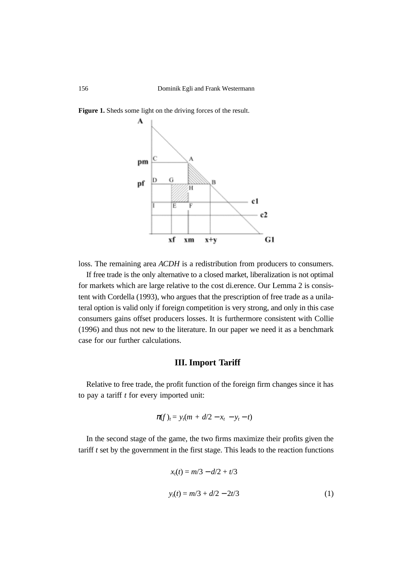

**Figure 1.** Sheds some light on the driving forces of the result.

loss. The remaining area *ACDH* is a redistribution from producers to consumers.

If free trade is the only alternative to a closed market, liberalization is not optimal for markets which are large relative to the cost di.erence. Our Lemma 2 is consistent with Cordella (1993), who argues that the prescription of free trade as a unilateral option is valid only if foreign competition is very strong, and only in this case consumers gains offset producers losses. It is furthermore consistent with Collie (1996) and thus not new to the literature. In our paper we need it as a benchmark case for our further calculations.

## **III. Import Tariff**

Relative to free trade, the profit function of the foreign firm changes since it has to pay a tariff *t* for every imported unit:

$$
\pi(f)_t = y_t(m + d/2 - x_t - y_t - t)
$$

In the second stage of the game, the two firms maximize their profits given the tariff *t* set by the government in the first stage. This leads to the reaction functions

$$
xt(t) = m/3 - d/2 + t/3
$$
  

$$
yt(t) = m/3 + d/2 - 2t/3
$$
 (1)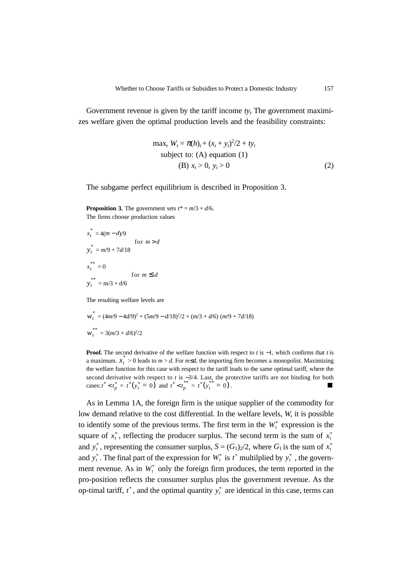Government revenue is given by the tariff income  $ty_t$ . The government maximizes welfare given the optimal production levels and the feasibility constraints:

max<sub>t</sub> 
$$
W_t = \pi(h)_t + (x_t + y_t)^2/2 + ty_t
$$
  
subject to: (A) equation (1)  
(B)  $x_t > 0$ ,  $y_t > 0$  (2)

The subgame perfect equilibrium is described in Proposition 3.

**Proposition 3.** The government sets  $t^* = m/3 + d/6$ . The firms choose production values

$$
x_t^* = 4(m-d)/9
$$
  
\n
$$
y_t^* = m/9 + 7d/18
$$
  
\n
$$
x_t^{**} = 0
$$
  
\n
$$
y_t^{**} = m/3 + d/6
$$
  
\nfor  $m \le d$ 

The resulting welfare levels are

$$
w_t^* = (4m/9 - 4d/9)^2 + (5m/9 - d/18)^2/2 + (m/3 + d/6) (m/9 + 7d/18)
$$
  

$$
w_t^{**} = 3(m/3 + d/6)^2/2
$$

**Proof.** The second derivative of the welfare function with respect to *t* is −1, which confirms that *t* is a maximum.  $x_t^* > 0$  leads to  $m > d$ . For  $m \le d$ , the importing firm becomes a monopolist. Maximizing the welfare function for this case with respect to the tariff leads to the same optimal tariff, where the second derivative with respect to *t* is −3/4. Last, the protective tariffs are not binding for both cases:  $t^* < t_p^* = t^*(y_t^* = 0)$  and  $t^* < t_p^{**} = t^*(y_t^{**} = 0)$ .

As in Lemma 1A, the foreign firm is the unique supplier of the commodity for low demand relative to the cost differential. In the welfare levels, *W*, it is possible to identify some of the previous terms. The first term in the  $W_t^*$  expression is the square of  $x_t^*$ , reflecting the producer surplus. The second term is the sum of  $x_t^*$ and  $y_t^*$ , representing the consumer surplus,  $S = (G_1)_2/2$ , where  $G_1$  is the sum of  $x_t^*$ and  $y_t^*$ . The final part of the expression for  $W_t^*$  is  $t^*$  multilplied by  $y_t^*$ , the government revenue. As in  $W_t^*$  only the foreign firm produces, the term reported in the pro-position reflects the consumer surplus plus the government revenue. As the op-timal tariff,  $t^*$ , and the optimal quantity  $y_t^*$  are identical in this case, terms can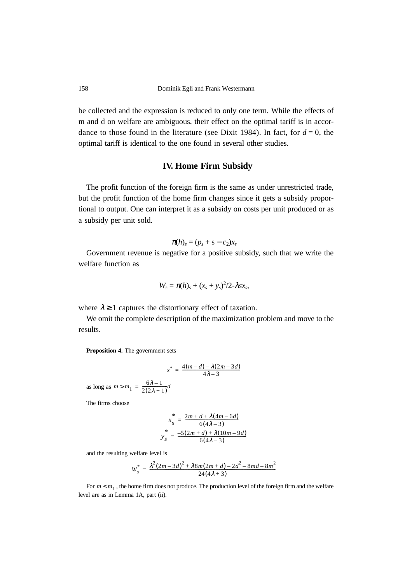be collected and the expression is reduced to only one term. While the effects of m and d on welfare are ambiguous, their effect on the optimal tariff is in accordance to those found in the literature (see Dixit 1984). In fact, for  $d = 0$ , the optimal tariff is identical to the one found in several other studies.

### **IV. Home Firm Subsidy**

The profit function of the foreign firm is the same as under unrestricted trade, but the profit function of the home firm changes since it gets a subsidy proportional to output. One can interpret it as a subsidy on costs per unit produced or as a subsidy per unit sold.

$$
\pi(h)_s = (p_s + s - c_2)x_s
$$

Government revenue is negative for a positive subsidy, such that we write the welfare function as

$$
W_s = \pi(h)_s + (x_s + y_s)^2/2 - \lambda s x_s,
$$

where  $\lambda \ge 1$  captures the distortionary effect of taxation.

We omit the complete description of the maximization problem and move to the results.

**Proposition 4.** The government sets

$$
s^* = \frac{4(m-d) - \lambda(2m - 3d)}{4\lambda - 3}
$$

as long as  $m > m_1 = \frac{6\lambda - 1}{2(2\lambda + 1)}d$ 

The firms choose

$$
x_{s}^{*} = \frac{2m + d + \lambda(4m - 6d)}{6(4\lambda - 3)}
$$

$$
y_{s}^{*} = \frac{-5(2m + d) + \lambda(10m - 9d)}{6(4\lambda - 3)}
$$

and the resulting welfare level is

$$
W_s^* = \frac{\lambda^2 (2m - 3d)^2 + \lambda 8m(2m + d) - 2d^2 - 8md - 8m^2}{24(4\lambda + 3)}
$$

For  $m < m_1$ , the home firm does not produce. The production level of the foreign firm and the welfare level are as in Lemma 1A, part (ii).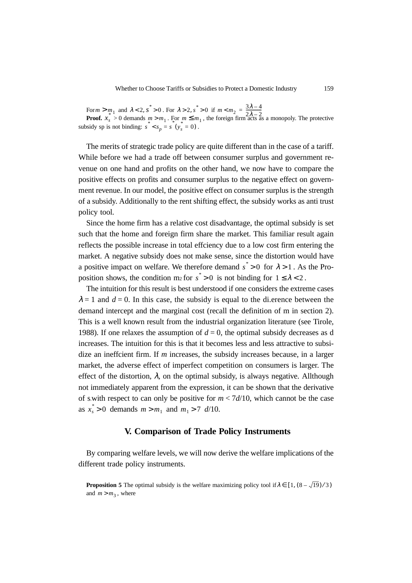For  $m > m_1$  and  $\lambda < 2$ ,  $s > 0$ . For  $\lambda > 2$ ,  $s > 0$  if **Proof.**  $x_s > 0$  demands  $m > m_1$ . For  $m \leq m_1$ , the foreign firm acts as a monopoly. The protective subsidy sp is not binding:  $s^* < s_p = s^*$  ( $y_s = 0$ ).  $m > m_1$  and  $\lambda < 2$ ,  $s^* > 0$ . For  $\lambda > 2$ ,  $s^* > 0$  if  $m < m_2 = \frac{3\lambda - 4}{2\lambda - 2}$ <br> **of.**  $x_s > 0$  demands  $m > m_1$ . For  $m \le m_1$ , the foreign firm acts a

The merits of strategic trade policy are quite different than in the case of a tariff. While before we had a trade off between consumer surplus and government revenue on one hand and profits on the other hand, we now have to compare the positive effects on profits and consumer surplus to the negative effect on government revenue. In our model, the positive effect on consumer surplus is the strength of a subsidy. Additionally to the rent shifting effect, the subsidy works as anti trust policy tool.

Since the home firm has a relative cost disadvantage, the optimal subsidy is set such that the home and foreign firm share the market. This familiar result again reflects the possible increase in total effciency due to a low cost firm entering the market. A negative subsidy does not make sense, since the distortion would have a positive impact on welfare. We therefore demand  $s^* > 0$  for  $\lambda > 1$ . As the Proposition shows, the condition m<sub>2</sub> for  $s^* > 0$  is not binding for  $1 \leq \lambda < 2$ .

The intuition for this result is best understood if one considers the extreme cases  $\lambda = 1$  and  $d = 0$ . In this case, the subsidy is equal to the di-erence between the demand intercept and the marginal cost (recall the definition of m in section 2). This is a well known result from the industrial organization literature (see Tirole, 1988). If one relaxes the assumption of  $d = 0$ , the optimal subsidy decreases as d increases. The intuition for this is that it becomes less and less attractive to subsidize an ineffcient firm. If *m* increases, the subsidy increases because, in a larger market, the adverse effect of imperfect competition on consumers is larger. The effect of the distortion,  $\lambda$ , on the optimal subsidy, is always negative. Allthough not immediately apparent from the expression, it can be shown that the derivative of s.with respect to can only be positive for  $m < 7d/10$ , which cannot be the case as  $x_s^* > 0$  demands  $m > m_1$  and  $m_1 > 7$  *d*/10.

#### **V. Comparison of Trade Policy Instruments**

By comparing welfare levels, we will now derive the welfare implications of the different trade policy instruments.

**Proposition 5** The optimal subsidy is the welfare maximizing policy tool if  $\lambda \in [1, (8 - \sqrt{19})/3]$ and  $m > m_3$ , where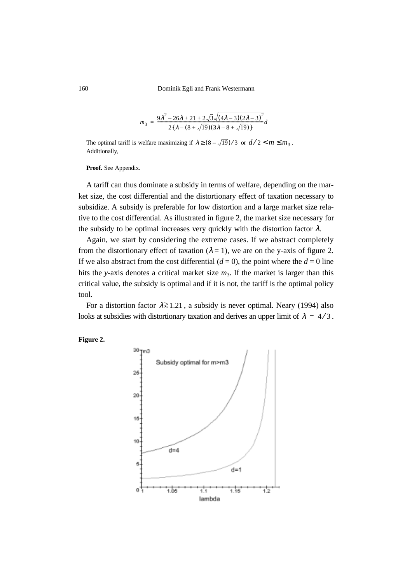$$
s = \frac{9\lambda^2 - 26\lambda + 21 + 2\sqrt{3}\sqrt{(4\lambda - 3)(2\lambda - 3)^2}}{2\{\lambda - (8 + \sqrt{19})(3\lambda - 8 + \sqrt{19})\}}d
$$

The optimal tariff is welfare maximizing if  $\lambda \ge (8 - \sqrt{19})/3$  or  $d/2 < m \le m_3$ . Additionally,

Proof. See Appendix.

*m*3

A tariff can thus dominate a subsidy in terms of welfare, depending on the market size, the cost differential and the distortionary effect of taxation necessary to subsidize. A subsidy is preferable for low distortion and a large market size relative to the cost differential. As illustrated in figure 2, the market size necessary for the subsidy to be optimal increases very quickly with the distortion factor  $\lambda$ .

Again, we start by considering the extreme cases. If we abstract completely from the distortionary effect of taxation ( $\lambda = 1$ ), we are on the y-axis of figure 2. If we also abstract from the cost differential  $(d = 0)$ , the point where the  $d = 0$  line hits the *y*-axis denotes a critical market size  $m_3$ . If the market is larger than this critical value, the subsidy is optimal and if it is not, the tariff is the optimal policy tool.

For a distortion factor  $λ ≥ 1.21$ , a subsidy is never optimal. Neary (1994) also looks at subsidies with distortionary taxation and derives an upper limit of  $\lambda = 4/3$ .



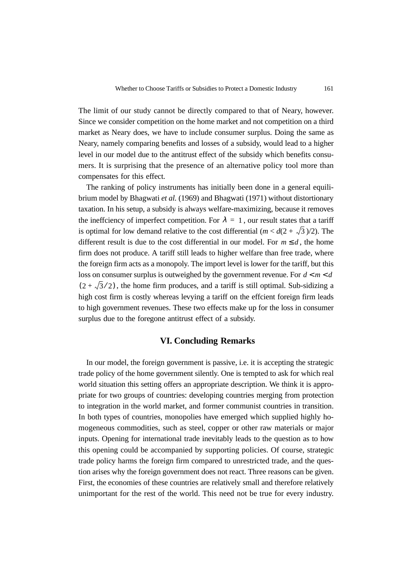The limit of our study cannot be directly compared to that of Neary, however. Since we consider competition on the home market and not competition on a third market as Neary does, we have to include consumer surplus. Doing the same as Neary, namely comparing benefits and losses of a subsidy, would lead to a higher level in our model due to the antitrust effect of the subsidy which benefits consumers. It is surprising that the presence of an alternative policy tool more than compensates for this effect.

The ranking of policy instruments has initially been done in a general equilibrium model by Bhagwati *et al.* (1969) and Bhagwati (1971) without distortionary taxation. In his setup, a subsidy is always welfare-maximizing, because it removes the inefficiency of imperfect competition. For  $\lambda = 1$ , our result states that a tariff is optimal for low demand relative to the cost differential  $(m < d(2 + \sqrt{3})/2)$ . The different result is due to the cost differential in our model. For  $m \le d$ , the home firm does not produce. A tariff still leads to higher welfare than free trade, where the foreign firm acts as a monopoly. The import level is lower for the tariff, but this loss on consumer surplus is outweighed by the government revenue. For  $d < m < d$  $(2 + \sqrt{3}/2)$ , the home firm produces, and a tariff is still optimal. Sub-sidizing a high cost firm is costly whereas levying a tariff on the effcient foreign firm leads to high government revenues. These two effects make up for the loss in consumer surplus due to the foregone antitrust effect of a subsidy.

### **VI. Concluding Remarks**

In our model, the foreign government is passive, i.e. it is accepting the strategic trade policy of the home government silently. One is tempted to ask for which real world situation this setting offers an appropriate description. We think it is appropriate for two groups of countries: developing countries merging from protection to integration in the world market, and former communist countries in transition. In both types of countries, monopolies have emerged which supplied highly homogeneous commodities, such as steel, copper or other raw materials or major inputs. Opening for international trade inevitably leads to the question as to how this opening could be accompanied by supporting policies. Of course, strategic trade policy harms the foreign firm compared to unrestricted trade, and the question arises why the foreign government does not react. Three reasons can be given. First, the economies of these countries are relatively small and therefore relatively unimportant for the rest of the world. This need not be true for every industry.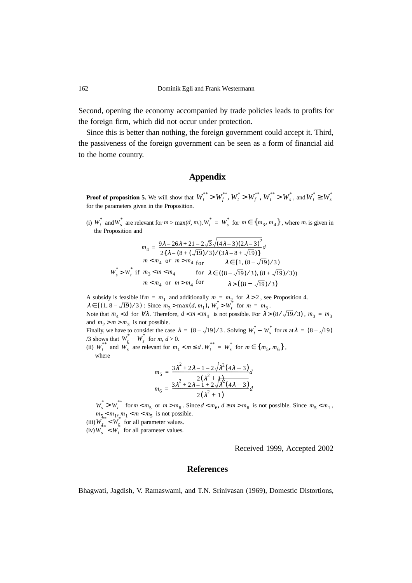Second, opening the economy accompanied by trade policies leads to profits for the foreign firm, which did not occur under protection.

Since this is better than nothing, the foreign government could accept it. Third, the passiveness of the foreign government can be seen as a form of financial aid to the home country.

### **Appendix**

**Proof of proposition 5.** We will show that  $W_t^{**} > W_f^{**}, W_t^* > W_f^{**}, W_t^{**} > W_s^*$ , and  $W_t^* \geq W_s^*$ for the parameters given in the Proposition.

(i)  $W_t^*$  and  $W_s^*$  are relevant for  $m > \max(d, m_1)$ .  $W_t^* = W_s^*$  for  $m \in \{m_3, m_4\}$ , where  $m_3$  is given in the Proposition and

$$
m_4 = \frac{9\lambda - 26\lambda + 21 - 2\sqrt{3}\sqrt{(4\lambda - 3)(2\lambda - 3)^2}}{2\{\lambda - (8 + (\sqrt{19})/3)/(3\lambda - 8 + \sqrt{19})\}}d
$$
  

$$
W_s^* > W_t^* \text{ if }\begin{cases} m < m_4 \text{ or } m > m_4 \text{ for} \\ m_3 < m < m_4 \end{cases} \quad \text{ for } \lambda \in \left(\frac{(8 - \sqrt{19})}{3}, \frac{(8 + \sqrt{19})}{3}\right)
$$
  

$$
m < m_4 \text{ or } m > m_4 \text{ for} \quad \lambda > \left(\frac{(8 + \sqrt{19})}{3}\right)
$$

A subsidy is feasible if  $m = m_1$  and additionally  $m = m_2$  for  $\lambda > 2$ , see Proposition 4.  $\lambda \in [(1, 8 - \sqrt{19})/3)$ : Since  $m_3 > \max(d, m_1)$ ,  $W_s^* > W_t^*$  for  $m = m_3$ .

Note that  $m_4 < d$  for  $\forall \lambda$ . Therefore,  $d < m < m_4$  is not possible. For  $\lambda > (8/\sqrt{19/3})$ ,  $m_3 = m_3$ and  $m_2 > m > m_3$  is not possible.

Finally, we have to consider the case  $\lambda = (8 - \sqrt{19})/3$ . Solving  $W_t^* - W_s^*$  for  $m$  at  $\lambda = (8 - \sqrt{19})$ /3 shows that  $W_t - W_s$  for  $m, d > 0$ .  $W_{t_i}^* - W_{s_i}^*$ 

(ii)  $W_t$  and  $W_s$  are relevant for  $m_1 < m \le d$ .  $W_t = W_s$  for  $m \in \{m_5, m_6\}$ , where  $W_t^{**}$  and  $W_s^*$  are relevant for  $m_1 < m \le d$ .  $W_t^{**} = W_s^*$  for  $m \in \{m_5, m_6\}$ 

$$
m_{5} = \frac{3\lambda^{2} + 2\lambda - 1 - 2\sqrt{\lambda^{2}(4\lambda - 3)}}{2(\lambda^{2} + 4\lambda^{2})(4\lambda - 3)}d
$$
  

$$
m_{6} = \frac{3\lambda^{2} + 2\lambda - 1 + 2\sqrt{\lambda^{2}(4\lambda - 3)}}{2(\lambda^{2} + 1)}d
$$

 $W_s^* > W_t^{**}$  for  $m < m_5$  or  $m > m_6$ . Since  $d < m_6$ ,  $d \ge m > m_6$  is not possible. Since  $m_5 < m_1$ ,  $m_{5} \leq m_1, m_1 < m < m_5$  is not possible.

(iii)  $W_{\rm s}$  <  $W_{\rm t}$  for all parameter values.  $W_{s_*}^{**} < W_t^*$ 

 $(iv) W_{s} < W_{t}$  for all parameter values.  $W_s^{**} < W_t^*$ 

Received 1999, Accepted 2002

## **References**

Bhagwati, Jagdish, V. Ramaswami, and T.N. Srinivasan (1969), Domestic Distortions,